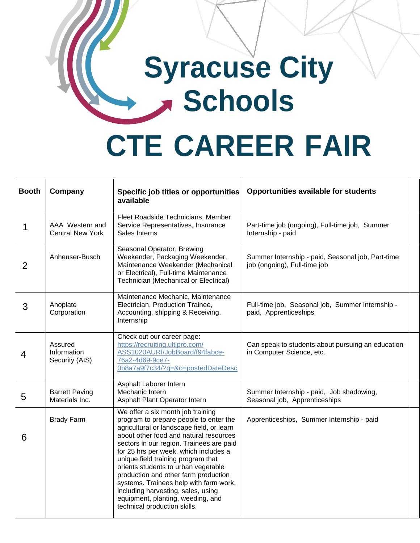## **Syracuse City Schools CTE CAREER FAIR**

| <b>Booth</b>   | Company                                    | Specific job titles or opportunities<br>available                                                                                                                                                                                                                                                                                                                                                                                                                                                                                 | <b>Opportunities available for students</b>                                       |
|----------------|--------------------------------------------|-----------------------------------------------------------------------------------------------------------------------------------------------------------------------------------------------------------------------------------------------------------------------------------------------------------------------------------------------------------------------------------------------------------------------------------------------------------------------------------------------------------------------------------|-----------------------------------------------------------------------------------|
| 1              | AAA Western and<br><b>Central New York</b> | Fleet Roadside Technicians, Member<br>Service Representatives, Insurance<br>Sales Interns                                                                                                                                                                                                                                                                                                                                                                                                                                         | Part-time job (ongoing), Full-time job, Summer<br>Internship - paid               |
| 2              | Anheuser-Busch                             | Seasonal Operator, Brewing<br>Weekender, Packaging Weekender,<br>Maintenance Weekender (Mechanical<br>or Electrical), Full-time Maintenance<br>Technician (Mechanical or Electrical)                                                                                                                                                                                                                                                                                                                                              | Summer Internship - paid, Seasonal job, Part-time<br>job (ongoing), Full-time job |
| 3              | Anoplate<br>Corporation                    | Maintenance Mechanic, Maintenance<br>Electrician, Production Trainee,<br>Accounting, shipping & Receiving,<br>Internship                                                                                                                                                                                                                                                                                                                                                                                                          | Full-time job, Seasonal job, Summer Internship -<br>paid, Apprenticeships         |
| $\overline{4}$ | Assured<br>Information<br>Security (AIS)   | Check out our career page:<br>https://recruiting.ultipro.com/<br>ASS1020AURI/JobBoard/f94fabce-<br>76a2-4d69-9ce7-<br>0b8a7a9f7c34/?q=&o=postedDateDesc                                                                                                                                                                                                                                                                                                                                                                           | Can speak to students about pursuing an education<br>in Computer Science, etc.    |
| 5              | <b>Barrett Paving</b><br>Materials Inc.    | Asphalt Laborer Intern<br>Mechanic Intern<br>Asphalt Plant Operator Intern                                                                                                                                                                                                                                                                                                                                                                                                                                                        | Summer Internship - paid, Job shadowing,<br>Seasonal job, Apprenticeships         |
| 6              | <b>Brady Farm</b>                          | We offer a six month job training<br>program to prepare people to enter the<br>agricultural or landscape field, or learn<br>about other food and natural resources<br>sectors in our region. Trainees are paid<br>for 25 hrs per week, which includes a<br>unique field training program that<br>orients students to urban vegetable<br>production and other farm production<br>systems. Trainees help with farm work,<br>including harvesting, sales, using<br>equipment, planting, weeding, and<br>technical production skills. | Apprenticeships, Summer Internship - paid                                         |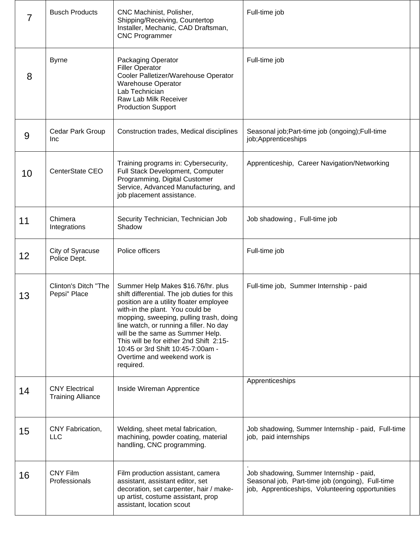|    | <b>Busch Products</b>                             | CNC Machinist, Polisher,<br>Shipping/Receiving, Countertop<br>Installer, Mechanic, CAD Draftsman,<br><b>CNC Programmer</b>                                                                                                                                                                                                                                                                                             | Full-time job                                                                                                                                    |  |
|----|---------------------------------------------------|------------------------------------------------------------------------------------------------------------------------------------------------------------------------------------------------------------------------------------------------------------------------------------------------------------------------------------------------------------------------------------------------------------------------|--------------------------------------------------------------------------------------------------------------------------------------------------|--|
| 8  | <b>Byrne</b>                                      | Packaging Operator<br><b>Filler Operator</b><br>Cooler Palletizer/Warehouse Operator<br><b>Warehouse Operator</b><br>Lab Technician<br>Raw Lab Milk Receiver<br><b>Production Support</b>                                                                                                                                                                                                                              | Full-time job                                                                                                                                    |  |
| 9  | Cedar Park Group<br>Inc                           | Construction trades, Medical disciplines                                                                                                                                                                                                                                                                                                                                                                               | Seasonal job; Part-time job (ongoing); Full-time<br>job; Apprenticeships                                                                         |  |
| 10 | CenterState CEO                                   | Training programs in: Cybersecurity,<br>Full Stack Development, Computer<br>Programming, Digital Customer<br>Service, Advanced Manufacturing, and<br>job placement assistance.                                                                                                                                                                                                                                         | Apprenticeship, Career Navigation/Networking                                                                                                     |  |
| 11 | Chimera<br>Integrations                           | Security Technician, Technician Job<br>Shadow                                                                                                                                                                                                                                                                                                                                                                          | Job shadowing, Full-time job                                                                                                                     |  |
| 12 | City of Syracuse<br>Police Dept.                  | Police officers                                                                                                                                                                                                                                                                                                                                                                                                        | Full-time job                                                                                                                                    |  |
| 13 | Clinton's Ditch "The<br>Pepsi" Place              | Summer Help Makes \$16.76/hr. plus<br>shift differential. The job duties for this<br>position are a utility floater employee<br>with-in the plant. You could be<br>mopping, sweeping, pulling trash, doing<br>line watch, or running a filler. No day<br>will be the same as Summer Help.<br>This will be for either 2nd Shift 2:15-<br>10:45 or 3rd Shift 10:45-7:00am -<br>Overtime and weekend work is<br>required. | Full-time job, Summer Internship - paid                                                                                                          |  |
| 14 | <b>CNY Electrical</b><br><b>Training Alliance</b> | Inside Wireman Apprentice                                                                                                                                                                                                                                                                                                                                                                                              | Apprenticeships                                                                                                                                  |  |
| 15 | CNY Fabrication,<br><b>LLC</b>                    | Welding, sheet metal fabrication,<br>machining, powder coating, material<br>handling, CNC programming.                                                                                                                                                                                                                                                                                                                 | Job shadowing, Summer Internship - paid, Full-time<br>job, paid internships                                                                      |  |
| 16 | <b>CNY Film</b><br>Professionals                  | Film production assistant, camera<br>assistant, assistant editor, set<br>decoration, set carpenter, hair / make-<br>up artist, costume assistant, prop<br>assistant, location scout                                                                                                                                                                                                                                    | Job shadowing, Summer Internship - paid,<br>Seasonal job, Part-time job (ongoing), Full-time<br>job, Apprenticeships, Volunteering opportunities |  |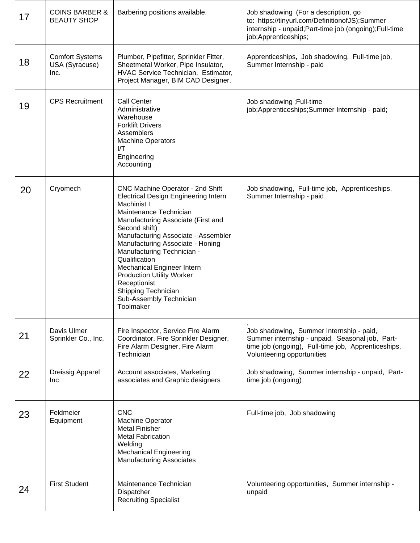| 17 | <b>COINS BARBER &amp;</b><br><b>BEAUTY SHOP</b>  | Barbering positions available.                                                                                                                                                                                                                                                                                                                                                                                                                             | Job shadowing (For a description, go<br>to: https://tinyurl.com/DefinitionofJS);Summer<br>internship - unpaid; Part-time job (ongoing); Full-time<br>job;Apprenticeships;        |  |
|----|--------------------------------------------------|------------------------------------------------------------------------------------------------------------------------------------------------------------------------------------------------------------------------------------------------------------------------------------------------------------------------------------------------------------------------------------------------------------------------------------------------------------|----------------------------------------------------------------------------------------------------------------------------------------------------------------------------------|--|
| 18 | <b>Comfort Systems</b><br>USA (Syracuse)<br>Inc. | Plumber, Pipefitter, Sprinkler Fitter,<br>Sheetmetal Worker, Pipe Insulator,<br>HVAC Service Technician, Estimator,<br>Project Manager, BIM CAD Designer.                                                                                                                                                                                                                                                                                                  | Apprenticeships, Job shadowing, Full-time job,<br>Summer Internship - paid                                                                                                       |  |
| 19 | <b>CPS Recruitment</b>                           | Call Center<br>Administrative<br>Warehouse<br><b>Forklift Drivers</b><br>Assemblers<br><b>Machine Operators</b><br>I/T<br>Engineering<br>Accounting                                                                                                                                                                                                                                                                                                        | Job shadowing; Full-time<br>job;Apprenticeships;Summer Internship - paid;                                                                                                        |  |
| 20 | Cryomech                                         | CNC Machine Operator - 2nd Shift<br><b>Electrical Design Engineering Intern</b><br>Machinist I<br>Maintenance Technician<br>Manufacturing Associate (First and<br>Second shift)<br>Manufacturing Associate - Assembler<br>Manufacturing Associate - Honing<br>Manufacturing Technician -<br>Qualification<br>Mechanical Engineer Intern<br><b>Production Utility Worker</b><br>Receptionist<br>Shipping Technician<br>Sub-Assembly Technician<br>Toolmaker | Job shadowing, Full-time job, Apprenticeships,<br>Summer Internship - paid                                                                                                       |  |
| 21 | Davis Ulmer<br>Sprinkler Co., Inc.               | Fire Inspector, Service Fire Alarm<br>Coordinator, Fire Sprinkler Designer,<br>Fire Alarm Designer, Fire Alarm<br>Technician                                                                                                                                                                                                                                                                                                                               | Job shadowing, Summer Internship - paid,<br>Summer internship - unpaid, Seasonal job, Part-<br>time job (ongoing), Full-time job, Apprenticeships,<br>Volunteering opportunities |  |
| 22 | Dreissig Apparel<br>Inc                          | Account associates, Marketing<br>associates and Graphic designers                                                                                                                                                                                                                                                                                                                                                                                          | Job shadowing, Summer internship - unpaid, Part-<br>time job (ongoing)                                                                                                           |  |
| 23 | Feldmeier<br>Equipment                           | <b>CNC</b><br><b>Machine Operator</b><br><b>Metal Finisher</b><br><b>Metal Fabrication</b><br>Welding<br><b>Mechanical Engineering</b><br><b>Manufacturing Associates</b>                                                                                                                                                                                                                                                                                  | Full-time job, Job shadowing                                                                                                                                                     |  |
| 24 | <b>First Student</b>                             | Maintenance Technician<br>Dispatcher<br><b>Recruiting Specialist</b>                                                                                                                                                                                                                                                                                                                                                                                       | Volunteering opportunities, Summer internship -<br>unpaid                                                                                                                        |  |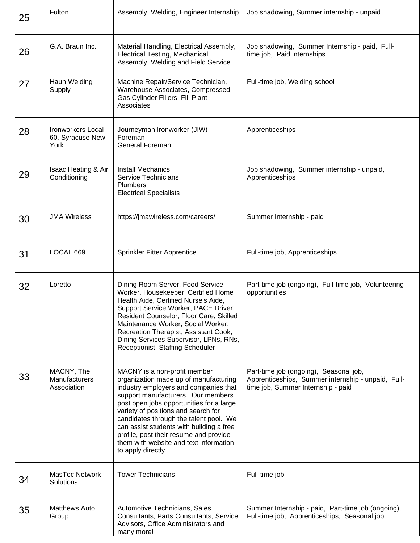| 25 | Fulton                                               | Assembly, Welding, Engineer Internship                                                                                                                                                                                                                                                                                                                                                                                                  | Job shadowing, Summer internship - unpaid                                                                                          |  |
|----|------------------------------------------------------|-----------------------------------------------------------------------------------------------------------------------------------------------------------------------------------------------------------------------------------------------------------------------------------------------------------------------------------------------------------------------------------------------------------------------------------------|------------------------------------------------------------------------------------------------------------------------------------|--|
| 26 | G.A. Braun Inc.                                      | Material Handling, Electrical Assembly,<br><b>Electrical Testing, Mechanical</b><br>Assembly, Welding and Field Service                                                                                                                                                                                                                                                                                                                 | Job shadowing, Summer Internship - paid, Full-<br>time job, Paid internships                                                       |  |
| 27 | Haun Welding<br>Supply                               | Machine Repair/Service Technician,<br>Warehouse Associates, Compressed<br>Gas Cylinder Fillers, Fill Plant<br>Associates                                                                                                                                                                                                                                                                                                                | Full-time job, Welding school                                                                                                      |  |
| 28 | <b>Ironworkers Local</b><br>60, Syracuse New<br>York | Journeyman Ironworker (JIW)<br>Foreman<br>General Foreman                                                                                                                                                                                                                                                                                                                                                                               | Apprenticeships                                                                                                                    |  |
| 29 | Isaac Heating & Air<br>Conditioning                  | <b>Install Mechanics</b><br>Service Technicians<br><b>Plumbers</b><br><b>Electrical Specialists</b>                                                                                                                                                                                                                                                                                                                                     | Job shadowing, Summer internship - unpaid,<br>Apprenticeships                                                                      |  |
| 30 | <b>JMA Wireless</b>                                  | https://jmawireless.com/careers/                                                                                                                                                                                                                                                                                                                                                                                                        | Summer Internship - paid                                                                                                           |  |
| 31 | LOCAL 669                                            | <b>Sprinkler Fitter Apprentice</b>                                                                                                                                                                                                                                                                                                                                                                                                      | Full-time job, Apprenticeships                                                                                                     |  |
| 32 | Loretto                                              | Dining Room Server, Food Service<br>Worker, Housekeeper, Certified Home<br>Health Aide, Certified Nurse's Aide,<br>Support Service Worker, PACE Driver,<br>Resident Counselor, Floor Care, Skilled<br>Maintenance Worker, Social Worker,<br>Recreation Therapist, Assistant Cook,<br>Dining Services Supervisor, LPNs, RNs,<br>Receptionist, Staffing Scheduler                                                                         | Part-time job (ongoing), Full-time job, Volunteering<br>opportunities                                                              |  |
| 33 | MACNY, The<br>Manufacturers<br>Association           | MACNY is a non-profit member<br>organization made up of manufacturing<br>industry employers and companies that<br>support manufacturers. Our members<br>post open jobs opportunities for a large<br>variety of positions and search for<br>candidates through the talent pool. We<br>can assist students with building a free<br>profile, post their resume and provide<br>them with website and text information<br>to apply directly. | Part-time job (ongoing), Seasonal job,<br>Apprenticeships, Summer internship - unpaid, Full-<br>time job, Summer Internship - paid |  |
| 34 | MasTec Network<br>Solutions                          | <b>Tower Technicians</b>                                                                                                                                                                                                                                                                                                                                                                                                                | Full-time job                                                                                                                      |  |
| 35 | <b>Matthews Auto</b><br>Group                        | Automotive Technicians, Sales<br>Consultants, Parts Consultants, Service<br>Advisors, Office Administrators and<br>many more!                                                                                                                                                                                                                                                                                                           | Summer Internship - paid, Part-time job (ongoing),<br>Full-time job, Apprenticeships, Seasonal job                                 |  |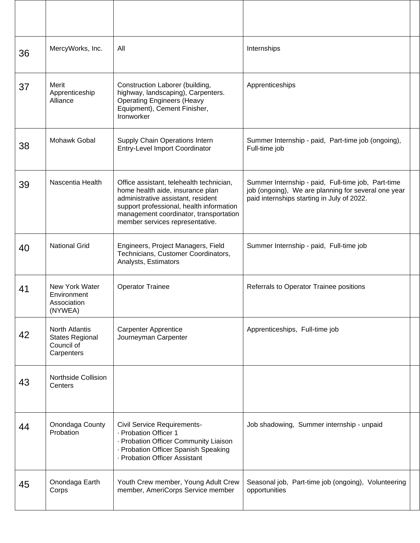| 36 | MercyWorks, Inc.                                                            | All                                                                                                                                                                                                                                         | Internships                                                                                                                                             |  |
|----|-----------------------------------------------------------------------------|---------------------------------------------------------------------------------------------------------------------------------------------------------------------------------------------------------------------------------------------|---------------------------------------------------------------------------------------------------------------------------------------------------------|--|
| 37 | Merit<br>Apprenticeship<br>Alliance                                         | Construction Laborer (building,<br>highway, landscaping), Carpenters.<br><b>Operating Engineers (Heavy</b><br>Equipment), Cement Finisher,<br>Ironworker                                                                                    | Apprenticeships                                                                                                                                         |  |
| 38 | Mohawk Gobal                                                                | Supply Chain Operations Intern<br><b>Entry-Level Import Coordinator</b>                                                                                                                                                                     | Summer Internship - paid, Part-time job (ongoing),<br>Full-time job                                                                                     |  |
| 39 | Nascentia Health                                                            | Office assistant, telehealth technician,<br>home health aide, insurance plan<br>administrative assistant, resident<br>support professional, health information<br>management coordinator, transportation<br>member services representative. | Summer Internship - paid, Full-time job, Part-time<br>job (ongoing), We are planning for several one year<br>paid internships starting in July of 2022. |  |
| 40 | <b>National Grid</b>                                                        | Engineers, Project Managers, Field<br>Technicians, Customer Coordinators,<br>Analysts, Estimators                                                                                                                                           | Summer Internship - paid, Full-time job                                                                                                                 |  |
| 41 | New York Water<br>Environment<br>Association<br>(NYWEA)                     | <b>Operator Trainee</b>                                                                                                                                                                                                                     | Referrals to Operator Trainee positions                                                                                                                 |  |
| 42 | <b>North Atlantis</b><br><b>States Regional</b><br>Council of<br>Carpenters | <b>Carpenter Apprentice</b><br>Journeyman Carpenter                                                                                                                                                                                         | Apprenticeships, Full-time job                                                                                                                          |  |
| 43 | <b>Northside Collision</b><br>Centers                                       |                                                                                                                                                                                                                                             |                                                                                                                                                         |  |
| 44 | Onondaga County<br>Probation                                                | <b>Civil Service Requirements-</b><br>· Probation Officer 1<br>· Probation Officer Community Liaison<br>· Probation Officer Spanish Speaking<br>· Probation Officer Assistant                                                               | Job shadowing, Summer internship - unpaid                                                                                                               |  |
| 45 | Onondaga Earth<br>Corps                                                     | Youth Crew member, Young Adult Crew<br>member, AmeriCorps Service member                                                                                                                                                                    | Seasonal job, Part-time job (ongoing), Volunteering<br>opportunities                                                                                    |  |

 $\overline{\phantom{a}}$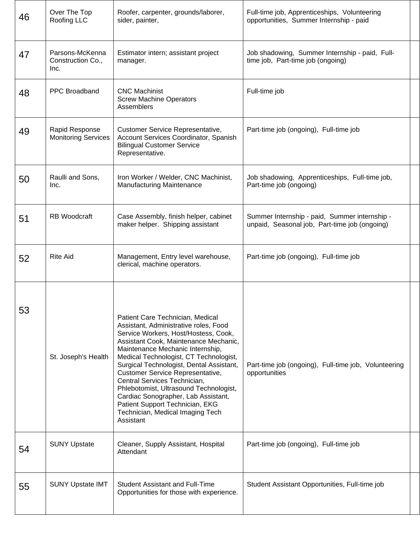| 46 | Over The Top<br>Roofing LLC                  | Roofer, carpenter, grounds/laborer,<br>sider, painter,                                                                                                                                                                                                                                                                                                                                                                                                                                                                        | Full-time job, Apprenticeships, Volunteering<br>opportunities, Summer Internship - paid        |  |
|----|----------------------------------------------|-------------------------------------------------------------------------------------------------------------------------------------------------------------------------------------------------------------------------------------------------------------------------------------------------------------------------------------------------------------------------------------------------------------------------------------------------------------------------------------------------------------------------------|------------------------------------------------------------------------------------------------|--|
| 47 | Parsons-McKenna<br>Construction Co.,<br>Inc. | Estimator intern; assistant project<br>manager.                                                                                                                                                                                                                                                                                                                                                                                                                                                                               | Job shadowing, Summer Internship - paid, Full-<br>time job, Part-time job (ongoing)            |  |
| 48 | <b>PPC Broadband</b>                         | <b>CNC Machinist</b><br><b>Screw Machine Operators</b><br>Assemblers                                                                                                                                                                                                                                                                                                                                                                                                                                                          | Full-time job                                                                                  |  |
| 49 | Rapid Response<br><b>Monitoring Services</b> | Customer Service Representative,<br>Account Services Coordinator, Spanish<br><b>Bilingual Customer Service</b><br>Representative.                                                                                                                                                                                                                                                                                                                                                                                             | Part-time job (ongoing), Full-time job                                                         |  |
| 50 | Raulli and Sons,<br>Inc.                     | Iron Worker / Welder, CNC Machinist,<br>Manufacturing Maintenance                                                                                                                                                                                                                                                                                                                                                                                                                                                             | Job shadowing, Apprenticeships, Full-time job,<br>Part-time job (ongoing)                      |  |
| 51 | <b>RB</b> Woodcraft                          | Case Assembly, finish helper, cabinet<br>maker helper. Shipping assistant                                                                                                                                                                                                                                                                                                                                                                                                                                                     | Summer Internship - paid, Summer internship -<br>unpaid, Seasonal job, Part-time job (ongoing) |  |
| 52 | <b>Rite Aid</b>                              | Management, Entry level warehouse,<br>clerical, machine operators.                                                                                                                                                                                                                                                                                                                                                                                                                                                            | Part-time job (ongoing), Full-time job                                                         |  |
| 53 | St. Joseph's Health                          | Patient Care Technician, Medical<br>Assistant, Administrative roles, Food<br>Service Workers, Host/Hostess, Cook,<br>Assistant Cook, Maintenance Mechanic,<br>Maintenance Mechanic Internship,<br>Medical Technologist, CT Technologist,<br>Surgical Technologist, Dental Assistant,<br>Customer Service Representative,<br>Central Services Technician,<br>Phlebotomist, Ultrasound Technologist,<br>Cardiac Sonographer, Lab Assistant,<br>Patient Support Technician, EKG<br>Technician, Medical Imaging Tech<br>Assistant | Part-time job (ongoing), Full-time job, Volunteering<br>opportunities                          |  |
| 54 | <b>SUNY Upstate</b>                          | Cleaner, Supply Assistant, Hospital<br>Attendant                                                                                                                                                                                                                                                                                                                                                                                                                                                                              | Part-time job (ongoing), Full-time job                                                         |  |
| 55 | <b>SUNY Upstate IMT</b>                      | <b>Student Assistant and Full-Time</b><br>Opportunities for those with experience.                                                                                                                                                                                                                                                                                                                                                                                                                                            | Student Assistant Opportunities, Full-time job                                                 |  |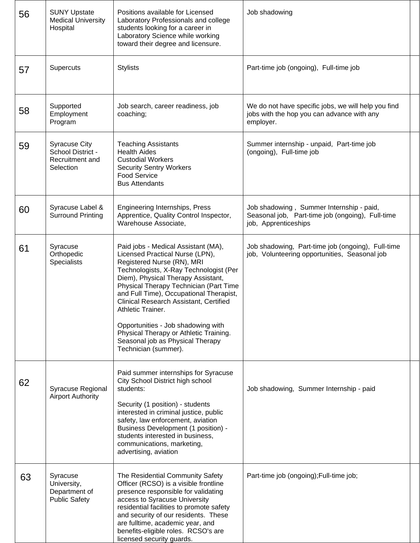| 56 | <b>SUNY Upstate</b><br><b>Medical University</b><br>Hospital              | Positions available for Licensed<br>Laboratory Professionals and college<br>students looking for a career in<br>Laboratory Science while working<br>toward their degree and licensure.                                                                                                                                                                                                                                                                                               | Job shadowing                                                                                                        |  |
|----|---------------------------------------------------------------------------|--------------------------------------------------------------------------------------------------------------------------------------------------------------------------------------------------------------------------------------------------------------------------------------------------------------------------------------------------------------------------------------------------------------------------------------------------------------------------------------|----------------------------------------------------------------------------------------------------------------------|--|
| 57 | <b>Supercuts</b>                                                          | <b>Stylists</b>                                                                                                                                                                                                                                                                                                                                                                                                                                                                      | Part-time job (ongoing), Full-time job                                                                               |  |
| 58 | Supported<br>Employment<br>Program                                        | Job search, career readiness, job<br>coaching;                                                                                                                                                                                                                                                                                                                                                                                                                                       | We do not have specific jobs, we will help you find<br>jobs with the hop you can advance with any<br>employer.       |  |
| 59 | <b>Syracuse City</b><br>School District -<br>Recruitment and<br>Selection | <b>Teaching Assistants</b><br><b>Health Aides</b><br><b>Custodial Workers</b><br><b>Security Sentry Workers</b><br><b>Food Service</b><br><b>Bus Attendants</b>                                                                                                                                                                                                                                                                                                                      | Summer internship - unpaid, Part-time job<br>(ongoing), Full-time job                                                |  |
| 60 | Syracuse Label &<br><b>Surround Printing</b>                              | Engineering Internships, Press<br>Apprentice, Quality Control Inspector,<br>Warehouse Associate,                                                                                                                                                                                                                                                                                                                                                                                     | Job shadowing, Summer Internship - paid,<br>Seasonal job, Part-time job (ongoing), Full-time<br>job, Apprenticeships |  |
| 61 | Syracuse<br>Orthopedic<br>Specialists                                     | Paid jobs - Medical Assistant (MA),<br>Licensed Practical Nurse (LPN),<br>Registered Nurse (RN), MRI<br>Technologists, X-Ray Technologist (Per<br>Diem), Physical Therapy Assistant,<br>Physical Therapy Technician (Part Time<br>and Full Time), Occupational Therapist,<br>Clinical Research Assistant, Certified<br>Athletic Trainer.<br>Opportunities - Job shadowing with<br>Physical Therapy or Athletic Training.<br>Seasonal job as Physical Therapy<br>Technician (summer). | Job shadowing, Part-time job (ongoing), Full-time<br>job, Volunteering opportunities, Seasonal job                   |  |
| 62 | Syracuse Regional<br><b>Airport Authority</b>                             | Paid summer internships for Syracuse<br>City School District high school<br>students:<br>Security (1 position) - students<br>interested in criminal justice, public<br>safety, law enforcement, aviation<br>Business Development (1 position) -<br>students interested in business,<br>communications, marketing,<br>advertising, aviation                                                                                                                                           | Job shadowing, Summer Internship - paid                                                                              |  |
| 63 | Syracuse<br>University,<br>Department of<br><b>Public Safety</b>          | The Residential Community Safety<br>Officer (RCSO) is a visible frontline<br>presence responsible for validating<br>access to Syracuse University<br>residential facilities to promote safety<br>and security of our residents. These<br>are fulltime, academic year, and<br>benefits-eligible roles. RCSO's are<br>licensed security guards.                                                                                                                                        | Part-time job (ongoing); Full-time job;                                                                              |  |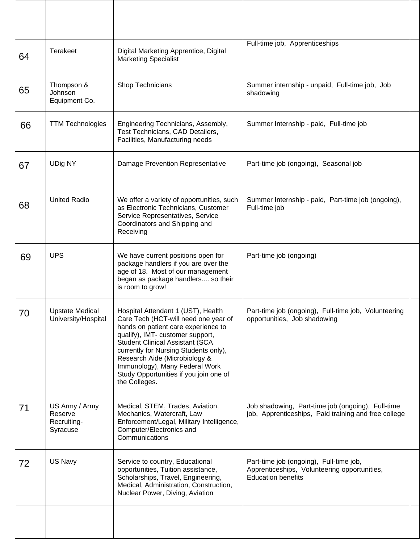| 64 | Terakeet                                             | Digital Marketing Apprentice, Digital<br><b>Marketing Specialist</b>                                                                                                                                                                                                                                                                                                   | Full-time job, Apprenticeships                                                                                       |  |
|----|------------------------------------------------------|------------------------------------------------------------------------------------------------------------------------------------------------------------------------------------------------------------------------------------------------------------------------------------------------------------------------------------------------------------------------|----------------------------------------------------------------------------------------------------------------------|--|
| 65 | Thompson &<br>Johnson<br>Equipment Co.               | Shop Technicians                                                                                                                                                                                                                                                                                                                                                       | Summer internship - unpaid, Full-time job, Job<br>shadowing                                                          |  |
| 66 | <b>TTM Technologies</b>                              | Engineering Technicians, Assembly,<br>Test Technicians, CAD Detailers,<br>Facilities, Manufacturing needs                                                                                                                                                                                                                                                              | Summer Internship - paid, Full-time job                                                                              |  |
| 67 | <b>UDig NY</b>                                       | Damage Prevention Representative                                                                                                                                                                                                                                                                                                                                       | Part-time job (ongoing), Seasonal job                                                                                |  |
| 68 | <b>United Radio</b>                                  | We offer a variety of opportunities, such<br>as Electronic Technicians, Customer<br>Service Representatives, Service<br>Coordinators and Shipping and<br>Receiving                                                                                                                                                                                                     | Summer Internship - paid, Part-time job (ongoing),<br>Full-time job                                                  |  |
| 69 | <b>UPS</b>                                           | We have current positions open for<br>package handlers if you are over the<br>age of 18. Most of our management<br>began as package handlers so their<br>is room to grow!                                                                                                                                                                                              | Part-time job (ongoing)                                                                                              |  |
| 70 | <b>Upstate Medical</b><br>University/Hospital        | Hospital Attendant 1 (UST), Health<br>Care Tech (HCT-will need one year of<br>hands on patient care experience to<br>qualify), IMT- customer support,<br><b>Student Clinical Assistant (SCA</b><br>currently for Nursing Students only),<br>Research Aide (Microbiology &<br>Immunology), Many Federal Work<br>Study Opportunities if you join one of<br>the Colleges. | Part-time job (ongoing), Full-time job, Volunteering<br>opportunities, Job shadowing                                 |  |
| 71 | US Army / Army<br>Reserve<br>Recruiting-<br>Syracuse | Medical, STEM, Trades, Aviation,<br>Mechanics, Watercraft, Law<br>Enforcement/Legal, Military Intelligence,<br>Computer/Electronics and<br>Communications                                                                                                                                                                                                              | Job shadowing, Part-time job (ongoing), Full-time<br>job, Apprenticeships, Paid training and free college            |  |
| 72 | US Navy                                              | Service to country, Educational<br>opportunities, Tuition assistance,<br>Scholarships, Travel, Engineering,<br>Medical, Administration, Construction,<br>Nuclear Power, Diving, Aviation                                                                                                                                                                               | Part-time job (ongoing), Full-time job,<br>Apprenticeships, Volunteering opportunities,<br><b>Education benefits</b> |  |
|    |                                                      |                                                                                                                                                                                                                                                                                                                                                                        |                                                                                                                      |  |